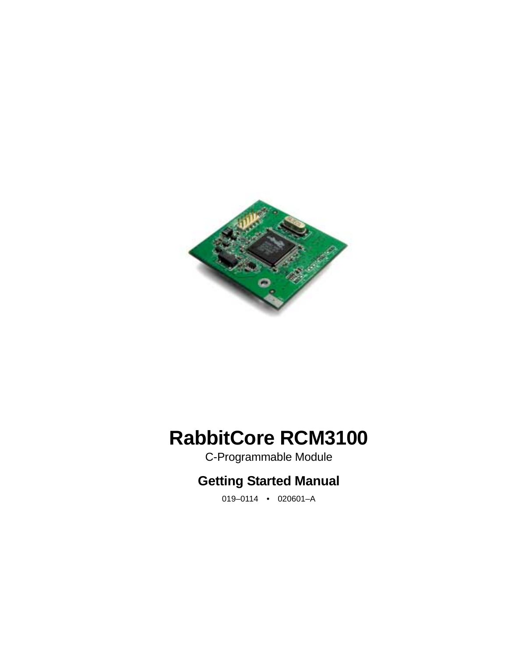

# **RabbitCore RCM3100**

C-Programmable Module

# **Getting Started Manual**

019–0114 • 020601–A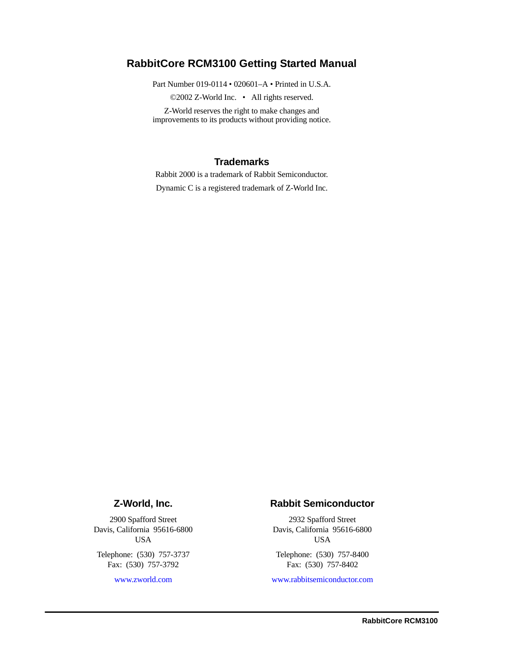#### **RabbitCore RCM3100 Getting Started Manual**

Part Number 019-0114 • 020601–A • Printed in U.S.A.

©2002 Z-World Inc. • All rights reserved.

Z-World reserves the right to make changes and improvements to its products without providing notice.

#### **Trademarks**

Rabbit 2000 is a trademark of Rabbit Semiconductor.

Dynamic C is a registered trademark of Z-World Inc.

#### **Z-World, Inc.**

2900 Spafford Street Davis, California 95616-6800 USA

Telephone: (530) 757-3737 Fax: (530) 757-3792

[www.zworld.com](http://www.zworld.com)

#### **Rabbit Semiconductor**

2932 Spafford Street Davis, California 95616-6800 USA

Telephone: (530) 757-8400 Fax: (530) 757-8402

[www.rabbitsemiconductor.com](http://www.rabbitsemiconductor.com)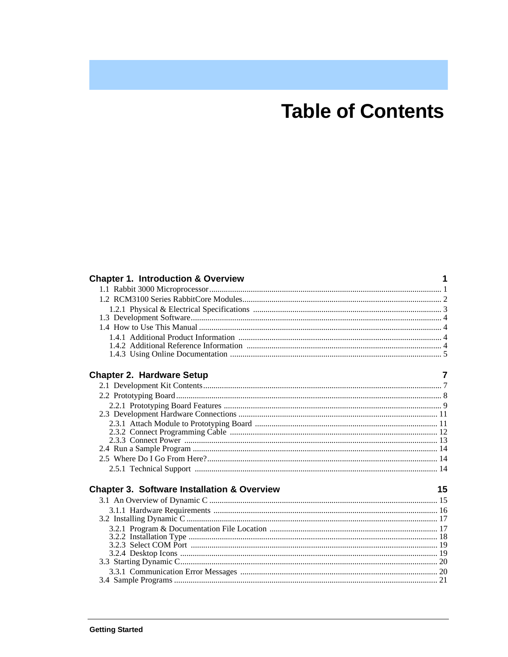# **Table of Contents**

| <b>Chapter 1. Introduction &amp; Overview</b>          |    |
|--------------------------------------------------------|----|
|                                                        |    |
|                                                        |    |
|                                                        |    |
|                                                        |    |
|                                                        |    |
|                                                        |    |
|                                                        |    |
|                                                        |    |
| <b>Chapter 2. Hardware Setup</b>                       |    |
|                                                        |    |
|                                                        |    |
|                                                        |    |
|                                                        |    |
|                                                        |    |
|                                                        |    |
|                                                        |    |
|                                                        |    |
|                                                        |    |
|                                                        |    |
| <b>Chapter 3. Software Installation &amp; Overview</b> | 15 |
|                                                        |    |
|                                                        |    |
|                                                        |    |
|                                                        |    |
|                                                        |    |
|                                                        |    |
|                                                        |    |
|                                                        |    |
|                                                        |    |
|                                                        |    |
|                                                        |    |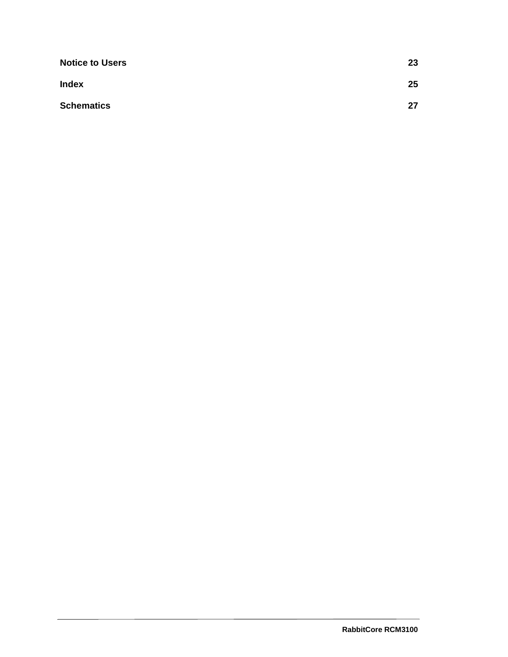| <b>Notice to Users</b> | 23 |
|------------------------|----|
| <b>Index</b>           | 25 |
| <b>Schematics</b>      | 27 |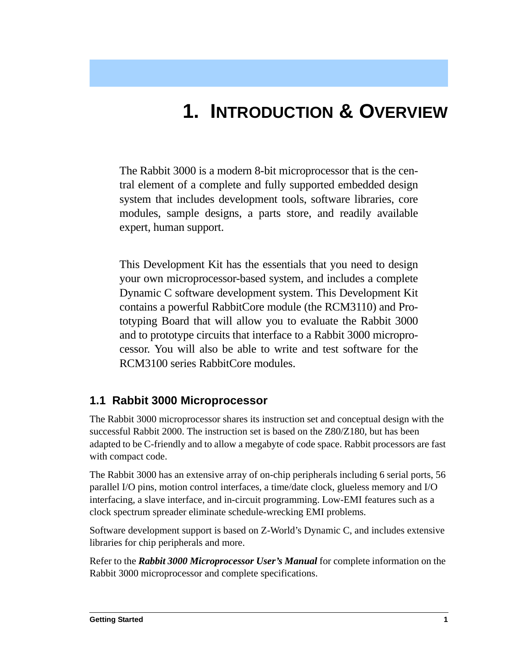# **1. INTRODUCTION & OVERVIEW**

<span id="page-4-0"></span>The Rabbit 3000 is a modern 8-bit microprocessor that is the central element of a complete and fully supported embedded design system that includes development tools, software libraries, core modules, sample designs, a parts store, and readily available expert, human support.

This Development Kit has the essentials that you need to design your own microprocessor-based system, and includes a complete Dynamic C software development system. This Development Kit contains a powerful RabbitCore module (the RCM3110) and Prototyping Board that will allow you to evaluate the Rabbit 3000 and to prototype circuits that interface to a Rabbit 3000 microprocessor. You will also be able to write and test software for the RCM3100 series RabbitCore modules.

## <span id="page-4-1"></span>**1.1 Rabbit 3000 Microprocessor**

The Rabbit 3000 microprocessor shares its instruction set and conceptual design with the successful Rabbit 2000. The instruction set is based on the Z80/Z180, but has been adapted to be C-friendly and to allow a megabyte of code space. Rabbit processors are fast with compact code.

The Rabbit 3000 has an extensive array of on-chip peripherals including 6 serial ports, 56 parallel I/O pins, motion control interfaces, a time/date clock, glueless memory and I/O interfacing, a slave interface, and in-circuit programming. Low-EMI features such as a clock spectrum spreader eliminate schedule-wrecking EMI problems.

Software development support is based on Z-World's Dynamic C, and includes extensive libraries for chip peripherals and more.

Refer to the *Rabbit 3000 Microprocessor User's Manual* for complete information on the Rabbit 3000 microprocessor and complete specifications.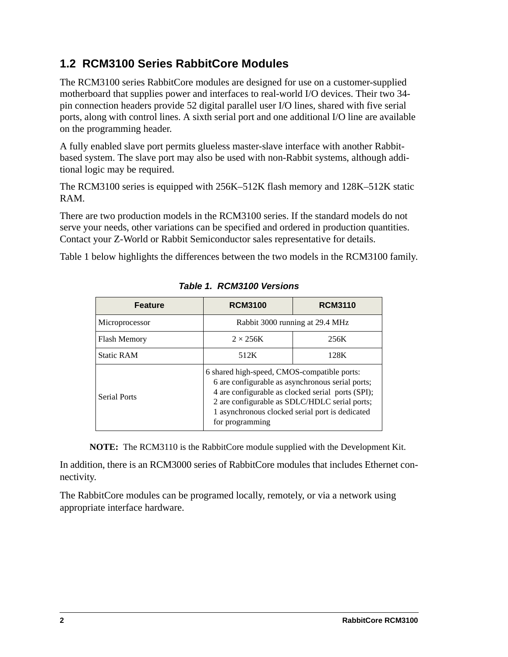## <span id="page-5-2"></span><span id="page-5-0"></span>**1.2 RCM3100 Series RabbitCore Modules**

The RCM3100 series RabbitCore modules are designed for use on a customer-supplied motherboard that supplies power and interfaces to real-world I/O devices. Their two 34 pin connection headers provide 52 digital parallel user I/O lines, shared with five serial ports, along with control lines. A sixth serial port and one additional I/O line are available on the programming header.

A fully enabled slave port permits glueless master-slave interface with another Rabbitbased system. The slave port may also be used with non-Rabbit systems, although additional logic may be required.

The RCM3100 series is equipped with 256K–512K flash memory and 128K–512K static RAM.

There are two production models in the RCM3100 series. If the standard models do not serve your needs, other variations can be specified and ordered in production quantities. Contact your Z-World or Rabbit Semiconductor sales representative for details.

<span id="page-5-1"></span>[Table 1](#page-5-1) below highlights the differences between the two models in the RCM3100 family.

| <b>Feature</b>      | <b>RCM3100</b>                                                                                                                                                                                                                                                              | <b>RCM3110</b> |
|---------------------|-----------------------------------------------------------------------------------------------------------------------------------------------------------------------------------------------------------------------------------------------------------------------------|----------------|
| Microprocessor      | Rabbit 3000 running at 29.4 MHz                                                                                                                                                                                                                                             |                |
| <b>Flash Memory</b> | $2 \times 256K$                                                                                                                                                                                                                                                             | 256K           |
| <b>Static RAM</b>   | 512K                                                                                                                                                                                                                                                                        | 128K           |
| <b>Serial Ports</b> | 6 shared high-speed, CMOS-compatible ports:<br>6 are configurable as asynchronous serial ports;<br>4 are configurable as clocked serial ports (SPI);<br>2 are configurable as SDLC/HDLC serial ports;<br>1 asynchronous clocked serial port is dedicated<br>for programming |                |

<span id="page-5-3"></span>**Table 1. RCM3100 Versions**

**NOTE:** The RCM3110 is the RabbitCore module supplied with the Development Kit.

In addition, there is an RCM3000 series of RabbitCore modules that includes Ethernet connectivity.

The RabbitCore modules can be programed locally, remotely, or via a network using appropriate interface hardware.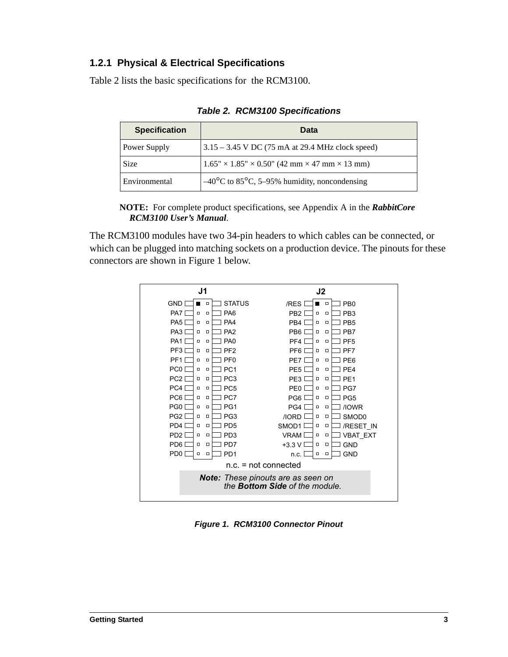#### <span id="page-6-0"></span>**1.2.1 Physical & Electrical Specifications**

<span id="page-6-2"></span>[Table 2](#page-6-2) lists the basic specifications for the RCM3100.

| <b>Specification</b> | Data                                                                       |
|----------------------|----------------------------------------------------------------------------|
| Power Supply         | $3.15 - 3.45$ V DC (75 mA at 29.4 MHz clock speed)                         |
| Size                 | $1.65'' \times 1.85'' \times 0.50''$ (42 mm $\times$ 47 mm $\times$ 13 mm) |
| Environmental        | $-40^{\circ}$ C to 85 <sup>°</sup> C, 5–95% humidity, noncondensing        |

<span id="page-6-5"></span>**Table 2. RCM3100 Specifications**

**NOTE:** For complete product specifications, see Appendix A in the *RabbitCore RCM3100 User's Manual*.

The RCM3100 modules have two 34-pin headers to which cables can be connected, or which can be plugged into matching sockets on a production device. The pinouts for these connectors are shown in [Figure 1](#page-6-1) below.



<span id="page-6-4"></span><span id="page-6-3"></span><span id="page-6-1"></span>**Figure 1. RCM3100 Connector Pinout**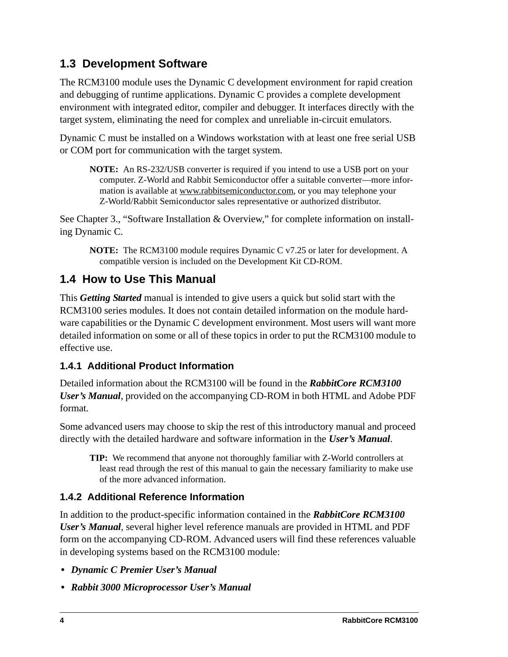# <span id="page-7-0"></span>**1.3 Development Software**

<span id="page-7-5"></span>The RCM3100 module uses the Dynamic C development environment for rapid creation and debugging of runtime applications. Dynamic C provides a complete development environment with integrated editor, compiler and debugger. It interfaces directly with the target system, eliminating the need for complex and unreliable in-circuit emulators.

Dynamic C must be installed on a Windows workstation with at least one free serial USB or COM port for communication with the target system.

**NOTE:** An RS-232/USB converter is required if you intend to use a USB port on your computer. Z-World and Rabbit Semiconductor offer a suitable converter—more information is available at [www.rabbitsemiconductor.com,](http://www.rabbit semiconductor.com) or you may telephone your Z-World/Rabbit Semiconductor sales representative or authorized distributor.

See [Chapter 3., "Software Installation & Overview,"](#page-18-2) for complete information on installing Dynamic C.

**NOTE:** The RCM3100 module requires Dynamic C v7.25 or later for development. A compatible version is included on the Development Kit CD-ROM.

## <span id="page-7-1"></span>**1.4 How to Use This Manual**

This *Getting Started* manual is intended to give users a quick but solid start with the RCM3100 series modules. It does not contain detailed information on the module hardware capabilities or the Dynamic C development environment. Most users will want more detailed information on some or all of these topics in order to put the RCM3100 module to effective use.

### <span id="page-7-2"></span>**1.4.1 Additional Product Information**

Detailed information about the RCM3100 will be found in the *RabbitCore RCM3100 User's Manual*, provided on the accompanying CD-ROM in both HTML and Adobe PDF format.

Some advanced users may choose to skip the rest of this introductory manual and proceed directly with the detailed hardware and software information in the *User's Manual*.

**TIP:** We recommend that anyone not thoroughly familiar with Z-World controllers at least read through the rest of this manual to gain the necessary familiarity to make use of the more advanced information.

### <span id="page-7-4"></span><span id="page-7-3"></span>**1.4.2 Additional Reference Information**

In addition to the product-specific information contained in the *RabbitCore RCM3100 User's Manual*, several higher level reference manuals are provided in HTML and PDF form on the accompanying CD-ROM. Advanced users will find these references valuable in developing systems based on the RCM3100 module:

- **•** *Dynamic C Premier User's Manual*
- **•** *Rabbit 3000 Microprocessor User's Manual*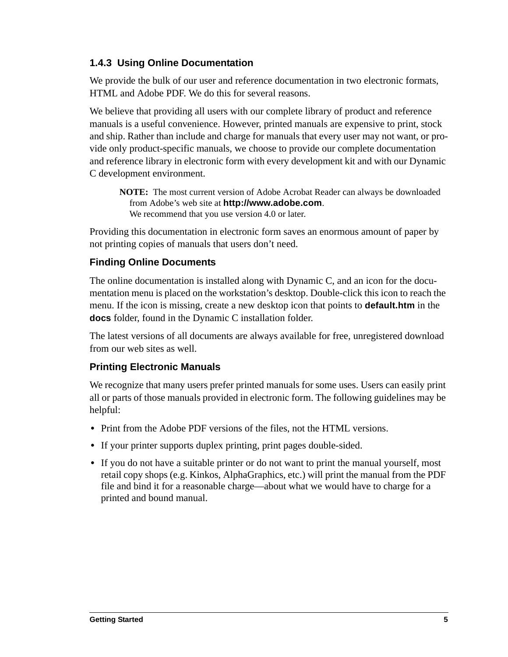#### <span id="page-8-1"></span><span id="page-8-0"></span>**1.4.3 Using Online Documentation**

We provide the bulk of our user and reference documentation in two electronic formats, HTML and Adobe PDF. We do this for several reasons.

We believe that providing all users with our complete library of product and reference manuals is a useful convenience. However, printed manuals are expensive to print, stock and ship. Rather than include and charge for manuals that every user may not want, or provide only product-specific manuals, we choose to provide our complete documentation and reference library in electronic form with every development kit and with our Dynamic C development environment.

**NOTE:** The most current version of Adobe Acrobat Reader can always be downloaded from Adobe's web site at **[http://www.adobe.com](http://www.adobe.com/)**. We recommend that you use version 4.0 or later.

Providing this documentation in electronic form saves an enormous amount of paper by not printing copies of manuals that users don't need.

#### **Finding Online Documents**

The online documentation is installed along with Dynamic C, and an icon for the documentation menu is placed on the workstation's desktop. Double-click this icon to reach the menu. If the icon is missing, create a new desktop icon that points to **default.htm** in the **docs** folder, found in the Dynamic C installation folder.

The latest versions of all documents are always available for free, unregistered download from our web sites as well.

### **Printing Electronic Manuals**

We recognize that many users prefer printed manuals for some uses. Users can easily print all or parts of those manuals provided in electronic form. The following guidelines may be helpful:

- Print from the Adobe PDF versions of the files, not the HTML versions.
- **•** If your printer supports duplex printing, print pages double-sided.
- **•** If you do not have a suitable printer or do not want to print the manual yourself, most retail copy shops (e.g. Kinkos, AlphaGraphics, etc.) will print the manual from the PDF file and bind it for a reasonable charge—about what we would have to charge for a printed and bound manual.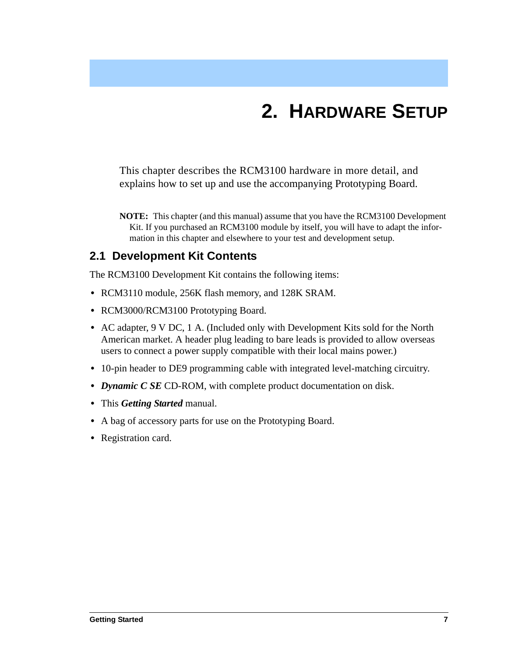# **2. HARDWARE SETUP**

<span id="page-10-0"></span>This chapter describes the RCM3100 hardware in more detail, and explains how to set up and use the accompanying Prototyping Board.

**NOTE:** This chapter (and this manual) assume that you have the RCM3100 Development Kit. If you purchased an RCM3100 module by itself, you will have to adapt the information in this chapter and elsewhere to your test and development setup.

## <span id="page-10-2"></span><span id="page-10-1"></span>**2.1 Development Kit Contents**

The RCM3100 Development Kit contains the following items:

- **•** RCM3110 module, 256K flash memory, and 128K SRAM.
- **•** RCM3000/RCM3100 Prototyping Board.
- **•** AC adapter, 9 V DC, 1 A. (Included only with Development Kits sold for the North American market. A header plug leading to bare leads is provided to allow overseas users to connect a power supply compatible with their local mains power.)
- **•** 10-pin header to DE9 programming cable with integrated level-matching circuitry.
- **•** *Dynamic C SE* CD-ROM, with complete product documentation on disk.
- **•** This *Getting Started* manual.
- **•** A bag of accessory parts for use on the Prototyping Board.
- **•** Registration card.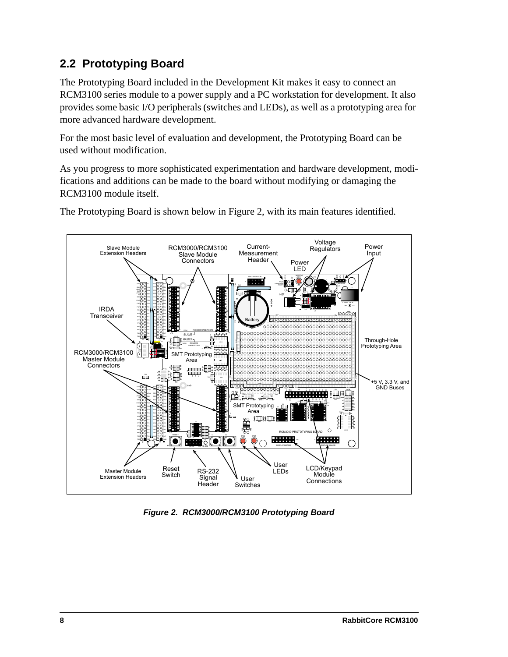# <span id="page-11-3"></span><span id="page-11-0"></span>**2.2 Prototyping Board**

The Prototyping Board included in the Development Kit makes it easy to connect an RCM3100 series module to a power supply and a PC workstation for development. It also provides some basic I/O peripherals (switches and LEDs), as well as a prototyping area for more advanced hardware development.

For the most basic level of evaluation and development, the Prototyping Board can be used without modification.

As you progress to more sophisticated experimentation and hardware development, modifications and additions can be made to the board without modifying or damaging the RCM3100 module itself.



The Prototyping Board is shown below in [Figure 2,](#page-11-1) with its main features identified.

<span id="page-11-2"></span><span id="page-11-1"></span>**Figure 2. RCM3000/RCM3100 Prototyping Board**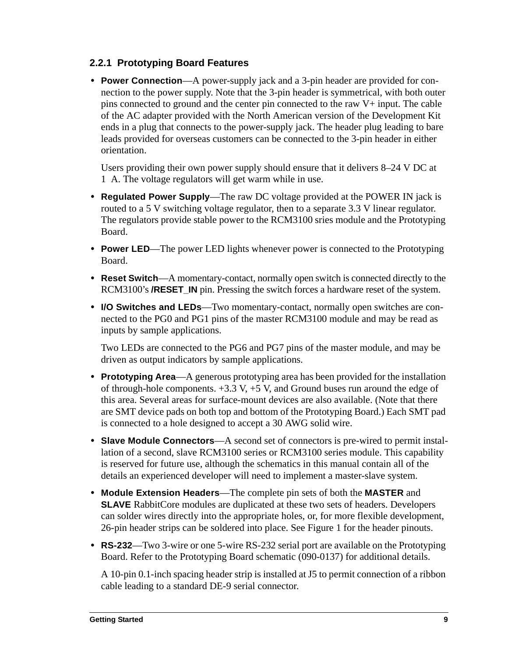#### <span id="page-12-1"></span><span id="page-12-0"></span>**2.2.1 Prototyping Board Features**

**• Power Connection**—A power-supply jack and a 3-pin header are provided for connection to the power supply. Note that the 3-pin header is symmetrical, with both outer pins connected to ground and the center pin connected to the raw V+ input. The cable of the AC adapter provided with the North American version of the Development Kit ends in a plug that connects to the power-supply jack. The header plug leading to bare leads provided for overseas customers can be connected to the 3-pin header in either orientation.

Users providing their own power supply should ensure that it delivers 8–24 V DC at 1 A. The voltage regulators will get warm while in use.

- **• Regulated Power Supply**—The raw DC voltage provided at the POWER IN jack is routed to a 5 V switching voltage regulator, then to a separate 3.3 V linear regulator. The regulators provide stable power to the RCM3100 sries module and the Prototyping Board.
- **• Power LED**—The power LED lights whenever power is connected to the Prototyping Board.
- **• Reset Switch**—A momentary-contact, normally open switch is connected directly to the RCM3100's **/RESET\_IN** pin. Pressing the switch forces a hardware reset of the system.
- **• I/O Switches and LEDs**—Two momentary-contact, normally open switches are connected to the PG0 and PG1 pins of the master RCM3100 module and may be read as inputs by sample applications.

Two LEDs are connected to the PG6 and PG7 pins of the master module, and may be driven as output indicators by sample applications.

- **• Prototyping Area**—A generous prototyping area has been provided for the installation of through-hole components.  $+3.3$  V,  $+5$  V, and Ground buses run around the edge of this area. Several areas for surface-mount devices are also available. (Note that there are SMT device pads on both top and bottom of the Prototyping Board.) Each SMT pad is connected to a hole designed to accept a 30 AWG solid wire.
- **• Slave Module Connectors**—A second set of connectors is pre-wired to permit installation of a second, slave RCM3100 series or RCM3100 series module. This capability is reserved for future use, although the schematics in this manual contain all of the details an experienced developer will need to implement a master-slave system.
- <span id="page-12-2"></span>**• Module Extension Headers**—The complete pin sets of both the **MASTER** and **SLAVE** RabbitCore modules are duplicated at these two sets of headers. Developers can solder wires directly into the appropriate holes, or, for more flexible development, 26-pin header strips can be soldered into place. See [Figure 1](#page-6-3) for the header pinouts.
- **• RS-232**—Two 3-wire or one 5-wire RS-232 serial port are available on the Prototyping Board. Refer to the Prototyping Board schematic (090-0137) for additional details.

A 10-pin 0.1-inch spacing header strip is installed at J5 to permit connection of a ribbon cable leading to a standard DE-9 serial connector.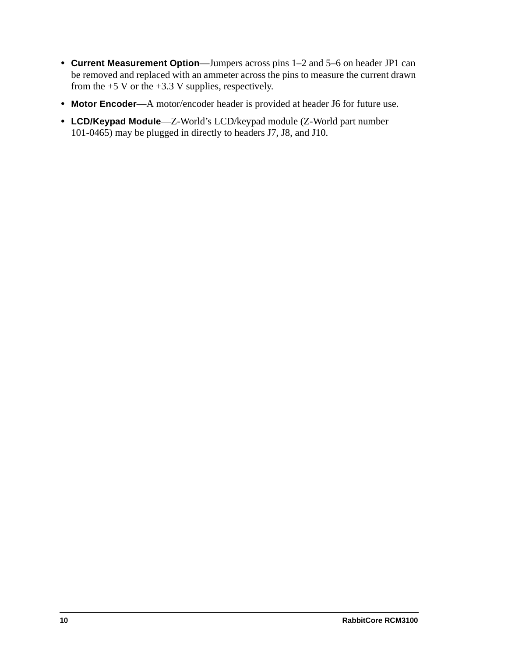- **• Current Measurement Option**—Jumpers across pins 1–2 and 5–6 on header JP1 can be removed and replaced with an ammeter across the pins to measure the current drawn from the  $+5$  V or the  $+3.3$  V supplies, respectively.
- **• Motor Encoder**—A motor/encoder header is provided at header J6 for future use.
- **• LCD/Keypad Module**—Z-World's LCD/keypad module (Z-World part number 101-0465) may be plugged in directly to headers J7, J8, and J10.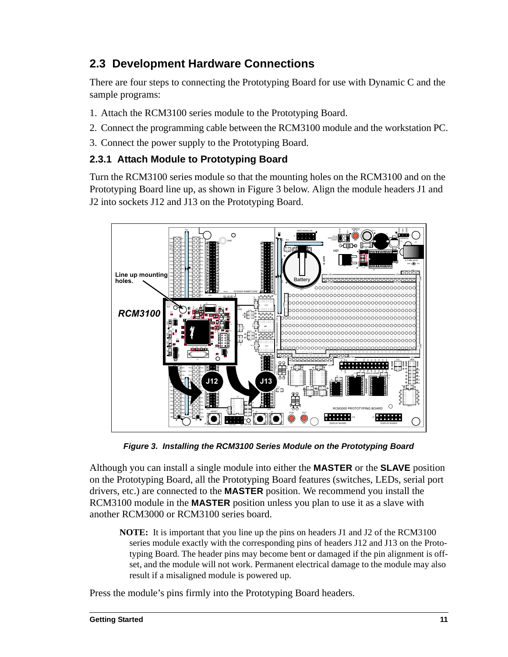## <span id="page-14-3"></span><span id="page-14-0"></span>**2.3 Development Hardware Connections**

There are four steps to connecting the Prototyping Board for use with Dynamic C and the sample programs:

- 1. Attach the RCM3100 series module to the Prototyping Board.
- 2. Connect the programming cable between the RCM3100 module and the workstation PC.
- 3. Connect the power supply to the Prototyping Board.

#### <span id="page-14-1"></span>**2.3.1 Attach Module to Prototyping Board**

Turn the RCM3100 series module so that the mounting holes on the RCM3100 and on the Prototyping Board line up, as shown in [Figure 3](#page-14-2) below. Align the module headers J1 and J2 into sockets J12 and J13 on the Prototyping Board.



<span id="page-14-4"></span>**Figure 3. Installing the RCM3100 Series Module on the Prototyping Board**

<span id="page-14-2"></span>Although you can install a single module into either the **MASTER** or the **SLAVE** position on the Prototyping Board, all the Prototyping Board features (switches, LEDs, serial port drivers, etc.) are connected to the **MASTER** position. We recommend you install the RCM3100 module in the **MASTER** position unless you plan to use it as a slave with another RCM3000 or RCM3100 series board.

**NOTE:** It is important that you line up the pins on headers J1 and J2 of the RCM3100 series module exactly with the corresponding pins of headers J12 and J13 on the Prototyping Board. The header pins may become bent or damaged if the pin alignment is offset, and the module will not work. Permanent electrical damage to the module may also result if a misaligned module is powered up.

Press the module's pins firmly into the Prototyping Board headers.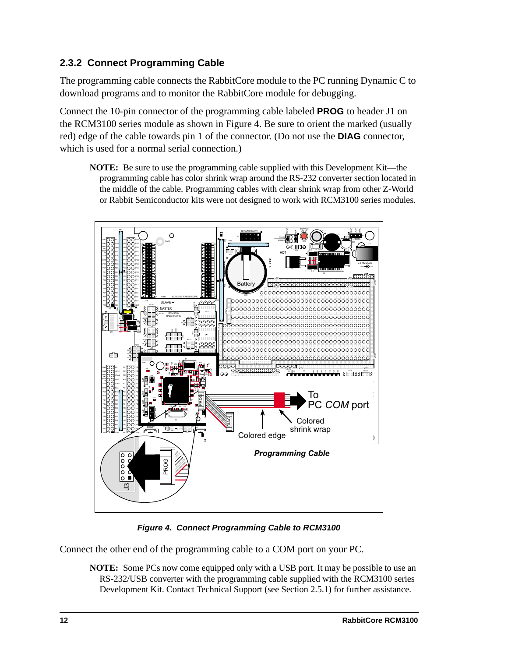### <span id="page-15-2"></span><span id="page-15-0"></span>**2.3.2 Connect Programming Cable**

The programming cable connects the RabbitCore module to the PC running Dynamic C to download programs and to monitor the RabbitCore module for debugging.

Connect the 10-pin connector of the programming cable labeled **PROG** to header J1 on the RCM3100 series module as shown in [Figure 4.](#page-15-1) Be sure to orient the marked (usually red) edge of the cable towards pin 1 of the connector. (Do not use the **DIAG** connector, which is used for a normal serial connection.)

**NOTE:** Be sure to use the programming cable supplied with this Development Kit—the programming cable has color shrink wrap around the RS-232 converter section located in the middle of the cable. Programming cables with clear shrink wrap from other Z-World or Rabbit Semiconductor kits were not designed to work with RCM3100 series modules.



**Figure 4. Connect Programming Cable to RCM3100**

<span id="page-15-1"></span>Connect the other end of the programming cable to a COM port on your PC.

**NOTE:** Some PCs now come equipped only with a USB port. It may be possible to use an RS-232/USB converter with the programming cable supplied with the RCM3100 series Development Kit. Contact Technical Support (see [Section 2.5.1](#page-17-2)) for further assistance.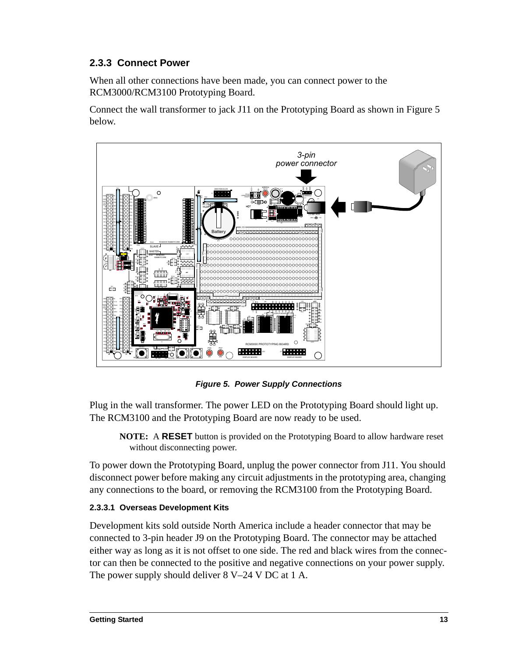### <span id="page-16-2"></span><span id="page-16-0"></span>**2.3.3 Connect Power**

When all other connections have been made, you can connect power to the RCM3000/RCM3100 Prototyping Board.

Connect the wall transformer to jack J11 on the Prototyping Board as shown in [Figure 5](#page-16-1) below.



<span id="page-16-5"></span><span id="page-16-4"></span><span id="page-16-3"></span>**Figure 5. Power Supply Connections**

<span id="page-16-1"></span>Plug in the wall transformer. The power LED on the Prototyping Board should light up. The RCM3100 and the Prototyping Board are now ready to be used.

**NOTE:** A **RESET** button is provided on the Prototyping Board to allow hardware reset without disconnecting power.

To power down the Prototyping Board, unplug the power connector from J11. You should disconnect power before making any circuit adjustments in the prototyping area, changing any connections to the board, or removing the RCM3100 from the Prototyping Board.

#### **2.3.3.1 Overseas Development Kits**

Development kits sold outside North America include a header connector that may be connected to 3-pin header J9 on the Prototyping Board. The connector may be attached either way as long as it is not offset to one side. The red and black wires from the connector can then be connected to the positive and negative connections on your power supply. The power supply should deliver 8 V–24 V DC at 1 A.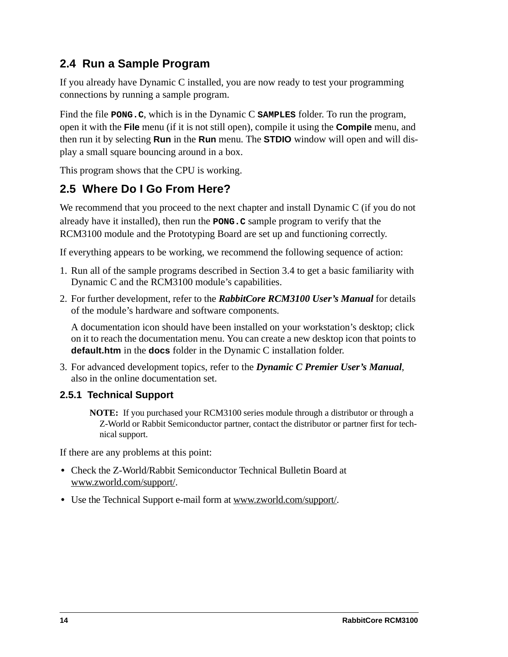# <span id="page-17-0"></span>**2.4 Run a Sample Program**

If you already have Dynamic C installed, you are now ready to test your programming connections by running a sample program.

<span id="page-17-3"></span>Find the file **PONG.C**, which is in the Dynamic C **SAMPLES** folder. To run the program, open it with the **File** menu (if it is not still open), compile it using the **Compile** menu, and then run it by selecting **Run** in the **Run** menu. The **STDIO** window will open and will display a small square bouncing around in a box.

This program shows that the CPU is working.

# <span id="page-17-1"></span>**2.5 Where Do I Go From Here?**

We recommend that you proceed to the next chapter and install Dynamic C (if you do not already have it installed), then run the **PONG.C** sample program to verify that the RCM3100 module and the Prototyping Board are set up and functioning correctly.

If everything appears to be working, we recommend the following sequence of action:

- 1. Run all of the sample programs described in [Section 3.4](#page-24-1) to get a basic familiarity with Dynamic C and the RCM3100 module's capabilities.
- 2. For further development, refer to the *RabbitCore RCM3100 User's Manual* for details of the module's hardware and software components.

A documentation icon should have been installed on your workstation's desktop; click on it to reach the documentation menu. You can create a new desktop icon that points to **default.htm** in the **docs** folder in the Dynamic C installation folder.

3. For advanced development topics, refer to the *Dynamic C Premier User's Manual*, also in the online documentation set.

### <span id="page-17-2"></span>**2.5.1 Technical Support**

<span id="page-17-4"></span>**NOTE:** If you purchased your RCM3100 series module through a distributor or through a Z-World or Rabbit Semiconductor partner, contact the distributor or partner first for technical support.

If there are any problems at this point:

- **•** Check the Z-World/Rabbit Semiconductor Technical Bulletin Board at [www.zworld.com/support/](http://www.zworld.com/support/).
- **•** Use the Technical Support e-mail form at [www.zworld.com/support/.](http://www.zworld.com/support/)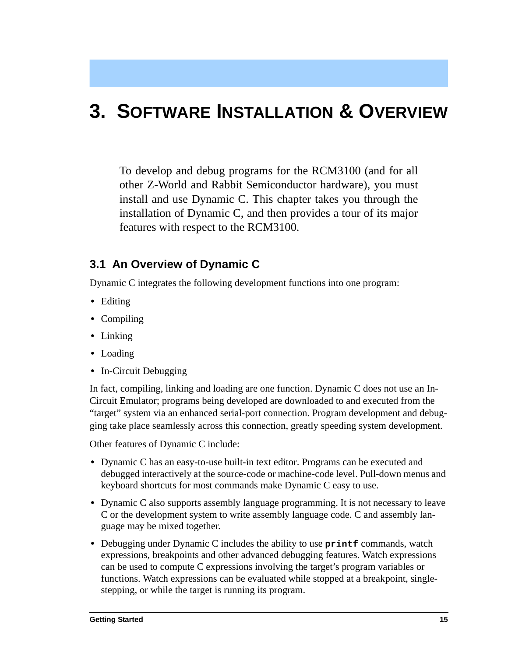# <span id="page-18-2"></span><span id="page-18-0"></span>**3. SOFTWARE INSTALLATION & OVERVIEW**

To develop and debug programs for the RCM3100 (and for all other Z-World and Rabbit Semiconductor hardware), you must install and use Dynamic C. This chapter takes you through the installation of Dynamic C, and then provides a tour of its major features with respect to the RCM3100.

### <span id="page-18-1"></span>**3.1 An Overview of Dynamic C**

<span id="page-18-3"></span>Dynamic C integrates the following development functions into one program:

- **•** Editing
- **•** Compiling
- **•** Linking
- **•** Loading
- **•** In-Circuit Debugging

In fact, compiling, linking and loading are one function. Dynamic C does not use an In-Circuit Emulator; programs being developed are downloaded to and executed from the "target" system via an enhanced serial-port connection. Program development and debugging take place seamlessly across this connection, greatly speeding system development.

<span id="page-18-7"></span>Other features of Dynamic C include:

- <span id="page-18-6"></span><span id="page-18-5"></span>**•** Dynamic C has an easy-to-use built-in text editor. Programs can be executed and debugged interactively at the source-code or machine-code level. Pull-down menus and keyboard shortcuts for most commands make Dynamic C easy to use.
- <span id="page-18-4"></span>• Dynamic C also supports assembly language programming. It is not necessary to leave C or the development system to write assembly language code. C and assembly language may be mixed together.
- <span id="page-18-8"></span>• Debugging under Dynamic C includes the ability to use **printf** commands, watch expressions, breakpoints and other advanced debugging features. Watch expressions can be used to compute C expressions involving the target's program variables or functions. Watch expressions can be evaluated while stopped at a breakpoint, singlestepping, or while the target is running its program.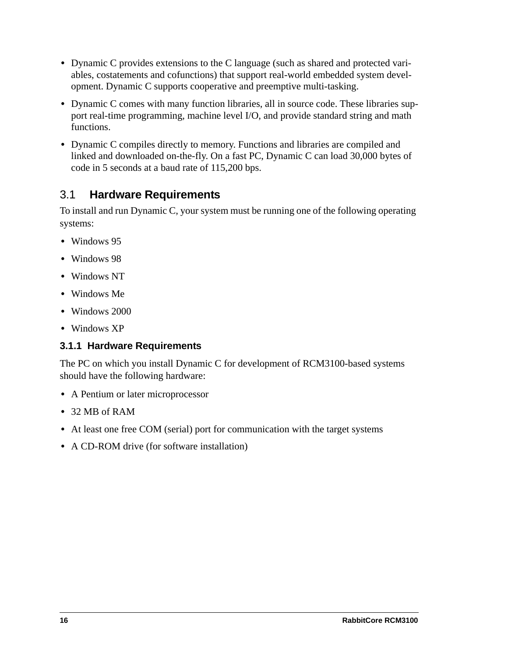- <span id="page-19-2"></span><span id="page-19-1"></span>**•** Dynamic C provides extensions to the C language (such as shared and protected variables, costatements and cofunctions) that support real-world embedded system development. Dynamic C supports cooperative and preemptive multi-tasking.
- **•** Dynamic C comes with many function libraries, all in source code. These libraries support real-time programming, machine level I/O, and provide standard string and math functions.
- **•** Dynamic C compiles directly to memory. Functions and libraries are compiled and linked and downloaded on-the-fly. On a fast PC, Dynamic C can load 30,000 bytes of code in 5 seconds at a baud rate of 115,200 bps.

## <span id="page-19-3"></span>3.1 **Hardware Requirements**

To install and run Dynamic C, your system must be running one of the following operating systems:

- **•** Windows 95
- **•** Windows 98
- **•** Windows NT
- **•** Windows Me
- **•** Windows 2000
- **•** Windows XP

### <span id="page-19-0"></span>**3.1.1 Hardware Requirements**

The PC on which you install Dynamic C for development of RCM3100-based systems should have the following hardware:

- **•** A Pentium or later microprocessor
- **•** 32 MB of RAM
- At least one free COM (serial) port for communication with the target systems
- **•** A CD-ROM drive (for software installation)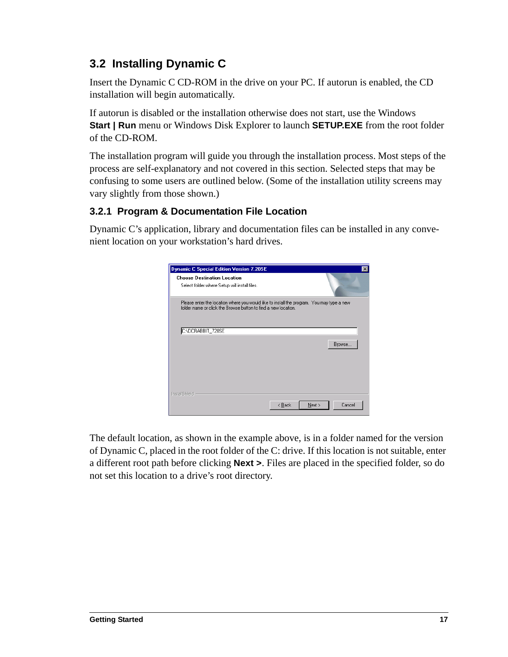# <span id="page-20-2"></span><span id="page-20-0"></span>**3.2 Installing Dynamic C**

Insert the Dynamic C CD-ROM in the drive on your PC. If autorun is enabled, the CD installation will begin automatically.

If autorun is disabled or the installation otherwise does not start, use the Windows **Start | Run** menu or Windows Disk Explorer to launch **SETUP.EXE** from the root folder of the CD-ROM.

The installation program will guide you through the installation process. Most steps of the process are self-explanatory and not covered in this section. Selected steps that may be confusing to some users are outlined below. (Some of the installation utility screens may vary slightly from those shown.)

### <span id="page-20-1"></span>**3.2.1 Program & Documentation File Location**

Dynamic C's application, library and documentation files can be installed in any convenient location on your workstation's hard drives.

| <b>Dynamic C Special Edition Version 7.20SE</b>                                                                                                             | $\boldsymbol{\mathsf{x}}$ |
|-------------------------------------------------------------------------------------------------------------------------------------------------------------|---------------------------|
| <b>Choose Destination Location</b><br>Select folder where Setup will install files.                                                                         |                           |
| Please enter the location where you would like to install the program. You may type a new<br>folder name or click the Browse button to find a new location. |                           |
| C:\DCRABBIT_720SE                                                                                                                                           |                           |
|                                                                                                                                                             | Browse                    |
| InstallShield                                                                                                                                               | Cancel<br>< Back<br>Next  |

The default location, as shown in the example above, is in a folder named for the version of Dynamic C, placed in the root folder of the C: drive. If this location is not suitable, enter a different root path before clicking **Next >**. Files are placed in the specified folder, so do not set this location to a drive's root directory.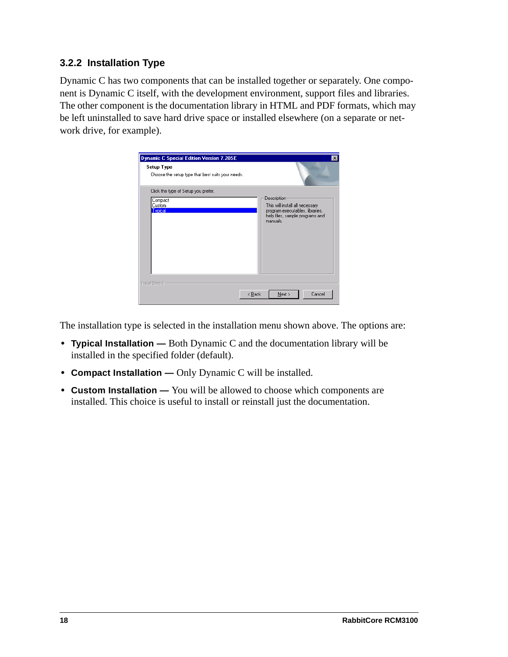#### <span id="page-21-1"></span><span id="page-21-0"></span>**3.2.2 Installation Type**

Dynamic C has two components that can be installed together or separately. One component is Dynamic C itself, with the development environment, support files and libraries. The other component is the documentation library in HTML and PDF formats, which may be left uninstalled to save hard drive space or installed elsewhere (on a separate or network drive, for example).



The installation type is selected in the installation menu shown above. The options are:

- **• Typical Installation** Both Dynamic C and the documentation library will be installed in the specified folder (default).
- **• Compact Installation —** Only Dynamic C will be installed.
- **• Custom Installation —** You will be allowed to choose which components are installed. This choice is useful to install or reinstall just the documentation.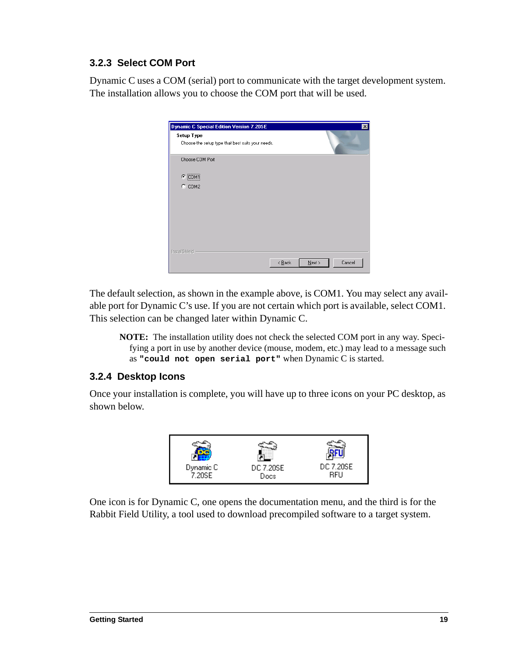### <span id="page-22-3"></span><span id="page-22-0"></span>**3.2.3 Select COM Port**

Dynamic C uses a COM (serial) port to communicate with the target development system. The installation allows you to choose the COM port that will be used.

| Dynamic C Special Edition Version 7.20SE<br>Setup Type<br>Choose the setup type that best suits your needs. |                            |           | $\vert x \vert$ |
|-------------------------------------------------------------------------------------------------------------|----------------------------|-----------|-----------------|
| Choose COM Port                                                                                             |                            |           |                 |
| $C$ $[COM]$                                                                                                 |                            |           |                 |
| $C$ COM2                                                                                                    |                            |           |                 |
|                                                                                                             |                            |           |                 |
|                                                                                                             |                            |           |                 |
|                                                                                                             |                            |           |                 |
|                                                                                                             |                            |           |                 |
|                                                                                                             |                            |           |                 |
| InstallShield                                                                                               |                            |           |                 |
|                                                                                                             | $\leq$ $\underline{B}$ ack | $N$ ext > | Cancel          |

The default selection, as shown in the example above, is COM1. You may select any available port for Dynamic C's use. If you are not certain which port is available, select COM1. This selection can be changed later within Dynamic C.

**NOTE:** The installation utility does not check the selected COM port in any way. Specifying a port in use by another device (mouse, modem, etc.) may lead to a message such as **"could not open serial port"** when Dynamic C is started.

#### <span id="page-22-2"></span><span id="page-22-1"></span>**3.2.4 Desktop Icons**

Once your installation is complete, you will have up to three icons on your PC desktop, as shown below.



One icon is for Dynamic C, one opens the documentation menu, and the third is for the Rabbit Field Utility, a tool used to download precompiled software to a target system.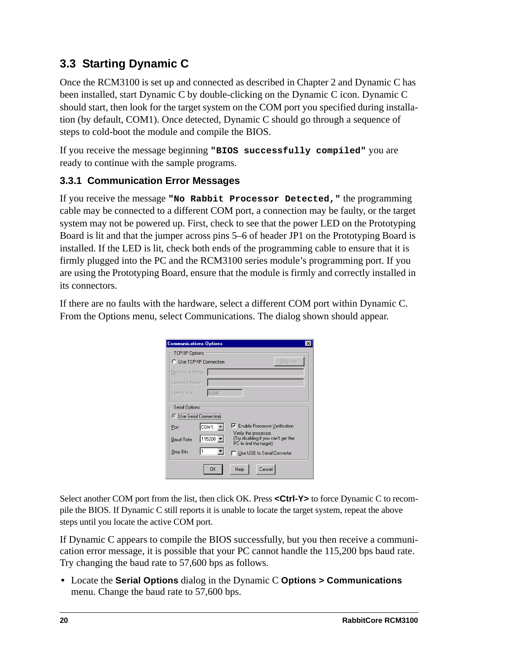# <span id="page-23-3"></span><span id="page-23-0"></span>**3.3 Starting Dynamic C**

Once the RCM3100 is set up and connected as described in Chapter 2 and Dynamic C has been installed, start Dynamic C by double-clicking on the Dynamic C icon. Dynamic C should start, then look for the target system on the COM port you specified during installation (by default, COM1). Once detected, Dynamic C should go through a sequence of steps to cold-boot the module and compile the BIOS.

If you receive the message beginning **"BIOS successfully compiled"** you are ready to continue with the sample programs.

### <span id="page-23-2"></span><span id="page-23-1"></span>**3.3.1 Communication Error Messages**

If you receive the message **"No Rabbit Processor Detected,"** the programming cable may be connected to a different COM port, a connection may be faulty, or the target system may not be powered up. First, check to see that the power LED on the Prototyping Board is lit and that the jumper across pins 5–6 of header JP1 on the Prototyping Board is installed. If the LED is lit, check both ends of the programming cable to ensure that it is firmly plugged into the PC and the RCM3100 series module's programming port. If you are using the Prototyping Board, ensure that the module is firmly and correctly installed in its connectors.

If there are no faults with the hardware, select a different COM port within Dynamic C. From the Options menu, select Communications. The dialog shown should appear.

| <b>Communications Options</b>  |          |                                                                                        |          |
|--------------------------------|----------|----------------------------------------------------------------------------------------|----------|
| TCP/IP Options                 |          |                                                                                        |          |
| C Use TCP/IP Connection        |          |                                                                                        | Discover |
| Network Address                |          |                                                                                        |          |
| Controller Name                |          |                                                                                        |          |
| Control Port                   | 4244     |                                                                                        |          |
| Serial Options                 |          |                                                                                        |          |
| <b>C</b> Use Serial Connection |          |                                                                                        |          |
| Port                           | COM1:    | <b>▽</b> Enable Processor Verification                                                 |          |
| <b>Baud Rate</b>               | 115200 - | Verify the processor.<br>(Try disabling if you can't get the<br>PC to find the target) |          |
| Stop Bits                      |          | □ Use USB to Serial Converter                                                          |          |
|                                | OK       | Help<br>Cancel                                                                         |          |

Select another COM port from the list, then click OK. Press <Ctrl-Y> to force Dynamic C to recompile the BIOS. If Dynamic C still reports it is unable to locate the target system, repeat the above steps until you locate the active COM port.

If Dynamic C appears to compile the BIOS successfully, but you then receive a communication error message, it is possible that your PC cannot handle the 115,200 bps baud rate. Try changing the baud rate to 57,600 bps as follows.

**•** Locate the **Serial Options** dialog in the Dynamic C **Options > Communications** menu. Change the baud rate to 57,600 bps.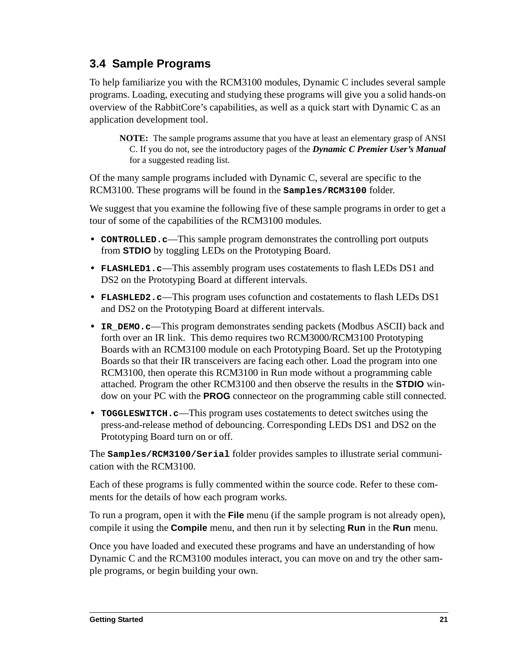# <span id="page-24-1"></span><span id="page-24-0"></span>**3.4 Sample Programs**

To help familiarize you with the RCM3100 modules, Dynamic C includes several sample programs. Loading, executing and studying these programs will give you a solid hands-on overview of the RabbitCore's capabilities, as well as a quick start with Dynamic C as an application development tool.

**NOTE:** The sample programs assume that you have at least an elementary grasp of ANSI C. If you do not, see the introductory pages of the *Dynamic C Premier User's Manual* for a suggested reading list.

Of the many sample programs included with Dynamic C, several are specific to the RCM3100. These programs will be found in the **Samples/RCM3100** folder.

We suggest that you examine the following five of these sample programs in order to get a tour of some of the capabilities of the RCM3100 modules.

- <span id="page-24-2"></span>**• CONTROLLED.c**—This sample program demonstrates the controlling port outputs from **STDIO** by toggling LEDs on the Prototyping Board.
- <span id="page-24-3"></span>**• FLASHLED1.c**—This assembly program uses costatements to flash LEDs DS1 and DS2 on the Prototyping Board at different intervals.
- <span id="page-24-4"></span>**• FLASHLED2.c**—This program uses cofunction and costatements to flash LEDs DS1 and DS2 on the Prototyping Board at different intervals.
- <span id="page-24-5"></span>**• IR\_DEMO.c**—This program demonstrates sending packets (Modbus ASCII) back and forth over an IR link. This demo requires two RCM3000/RCM3100 Prototyping Boards with an RCM3100 module on each Prototyping Board. Set up the Prototyping Boards so that their IR transceivers are facing each other. Load the program into one RCM3100, then operate this RCM3100 in Run mode without a programming cable attached. Program the other RCM3100 and then observe the results in the **STDIO** window on your PC with the **PROG** connecteor on the programming cable still connected.
- <span id="page-24-7"></span>**• TOGGLESWITCH.c**—This program uses costatements to detect switches using the press-and-release method of debouncing. Corresponding LEDs DS1 and DS2 on the Prototyping Board turn on or off.

<span id="page-24-6"></span>The **Samples/RCM3100/Serial** folder provides samples to illustrate serial communication with the RCM3100.

Each of these programs is fully commented within the source code. Refer to these comments for the details of how each program works.

To run a program, open it with the **File** menu (if the sample program is not already open), compile it using the **Compile** menu, and then run it by selecting **Run** in the **Run** menu.

Once you have loaded and executed these programs and have an understanding of how Dynamic C and the RCM3100 modules interact, you can move on and try the other sample programs, or begin building your own.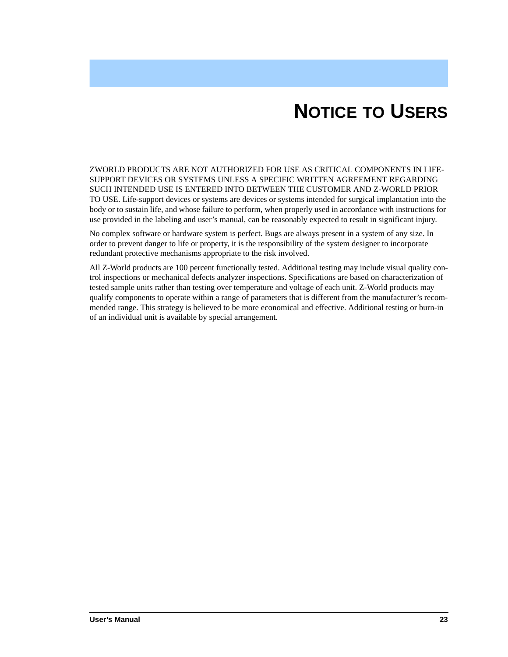# **NOTICE TO USERS**

<span id="page-26-0"></span>ZWORLD PRODUCTS ARE NOT AUTHORIZED FOR USE AS CRITICAL COMPONENTS IN LIFE-SUPPORT DEVICES OR SYSTEMS UNLESS A SPECIFIC WRITTEN AGREEMENT REGARDING SUCH INTENDED USE IS ENTERED INTO BETWEEN THE CUSTOMER AND Z-WORLD PRIOR TO USE. Life-support devices or systems are devices or systems intended for surgical implantation into the body or to sustain life, and whose failure to perform, when properly used in accordance with instructions for use provided in the labeling and user's manual, can be reasonably expected to result in significant injury.

No complex software or hardware system is perfect. Bugs are always present in a system of any size. In order to prevent danger to life or property, it is the responsibility of the system designer to incorporate redundant protective mechanisms appropriate to the risk involved.

All Z-World products are 100 percent functionally tested. Additional testing may include visual quality control inspections or mechanical defects analyzer inspections. Specifications are based on characterization of tested sample units rather than testing over temperature and voltage of each unit. Z-World products may qualify components to operate within a range of parameters that is different from the manufacturer's recommended range. This strategy is believed to be more economical and effective. Additional testing or burn-in of an individual unit is available by special arrangement.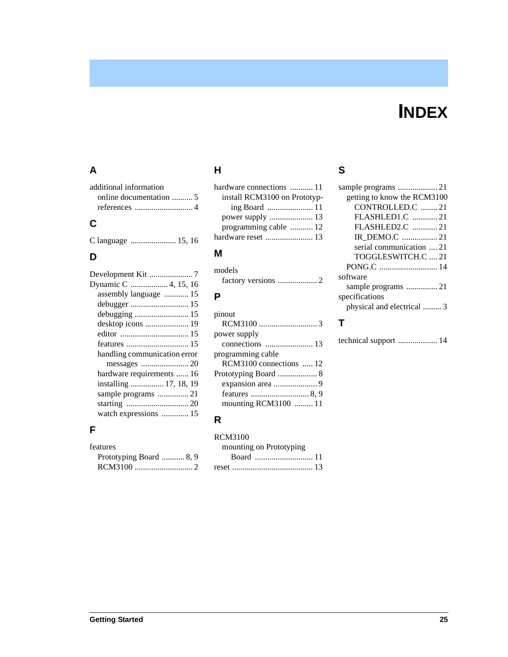# **INDEX**

## <span id="page-28-0"></span>**A**

| additional information |  |
|------------------------|--|
|                        |  |
|                        |  |
|                        |  |

## **C**

[C language ...................... 15,](#page-18-3) [16](#page-19-1)

## **D**

| Development Kit 7            |
|------------------------------|
|                              |
| assembly language  15        |
|                              |
|                              |
|                              |
|                              |
|                              |
| handling communication error |
|                              |
| hardware requirements  16    |
| installing  17, 18, 19       |
|                              |
|                              |
| watch expressions  15        |

## **F**

| <b>features</b>         |
|-------------------------|
| Prototyping Board  8, 9 |
|                         |

## **H**

| hardware connections  11     |  |
|------------------------------|--|
| install RCM3100 on Prototyp- |  |
|                              |  |
|                              |  |
| programming cable  12        |  |
|                              |  |
|                              |  |

### **M**

| models |  |
|--------|--|
|        |  |

## **P**

| pinout                  |
|-------------------------|
|                         |
| power supply            |
|                         |
| programming cable       |
| RCM3100 connections  12 |
|                         |
|                         |
|                         |
| mounting RCM3100  11    |
|                         |

## **R**

#### RCM3100

| mounting on Prototyping |  |
|-------------------------|--|
|                         |  |
|                         |  |

## **S**

| getting to know the RCM3100 |
|-----------------------------|
| CONTROLLED.C 21             |
| FLASHLED1.C 21              |
| FLASHLED2.C 21              |
| IR DEMO.C 21                |
| serial communication  21    |
| TOGGLESWITCH.C  21          |
|                             |
| software                    |
|                             |
| specifications              |
| physical and electrical  3  |
|                             |

# **T**

| technical support  14 |  |  |
|-----------------------|--|--|
|-----------------------|--|--|